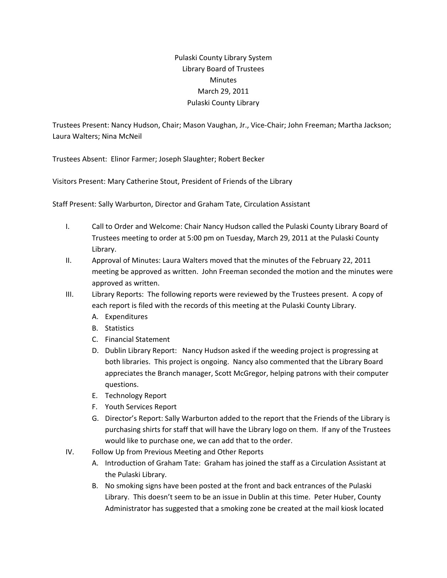## Pulaski County Library System Library Board of Trustees **Minutes** March 29, 2011 Pulaski County Library

Trustees Present: Nancy Hudson, Chair; Mason Vaughan, Jr., Vice‐Chair; John Freeman; Martha Jackson; Laura Walters; Nina McNeil

Trustees Absent: Elinor Farmer; Joseph Slaughter; Robert Becker

Visitors Present: Mary Catherine Stout, President of Friends of the Library

Staff Present: Sally Warburton, Director and Graham Tate, Circulation Assistant

- I. Call to Order and Welcome: Chair Nancy Hudson called the Pulaski County Library Board of Trustees meeting to order at 5:00 pm on Tuesday, March 29, 2011 at the Pulaski County Library.
- II. Approval of Minutes: Laura Walters moved that the minutes of the February 22, 2011 meeting be approved as written. John Freeman seconded the motion and the minutes were approved as written.
- III. Library Reports: The following reports were reviewed by the Trustees present. A copy of each report is filed with the records of this meeting at the Pulaski County Library.
	- A. Expenditures
	- B. Statistics
	- C. Financial Statement
	- D. Dublin Library Report: Nancy Hudson asked if the weeding project is progressing at both libraries. This project is ongoing. Nancy also commented that the Library Board appreciates the Branch manager, Scott McGregor, helping patrons with their computer questions.
	- E. Technology Report
	- F. Youth Services Report
	- G. Director's Report: Sally Warburton added to the report that the Friends of the Library is purchasing shirts for staff that will have the Library logo on them. If any of the Trustees would like to purchase one, we can add that to the order.
- IV. Follow Up from Previous Meeting and Other Reports
	- A. Introduction of Graham Tate: Graham has joined the staff as a Circulation Assistant at the Pulaski Library.
	- B. No smoking signs have been posted at the front and back entrances of the Pulaski Library. This doesn't seem to be an issue in Dublin at this time. Peter Huber, County Administrator has suggested that a smoking zone be created at the mail kiosk located